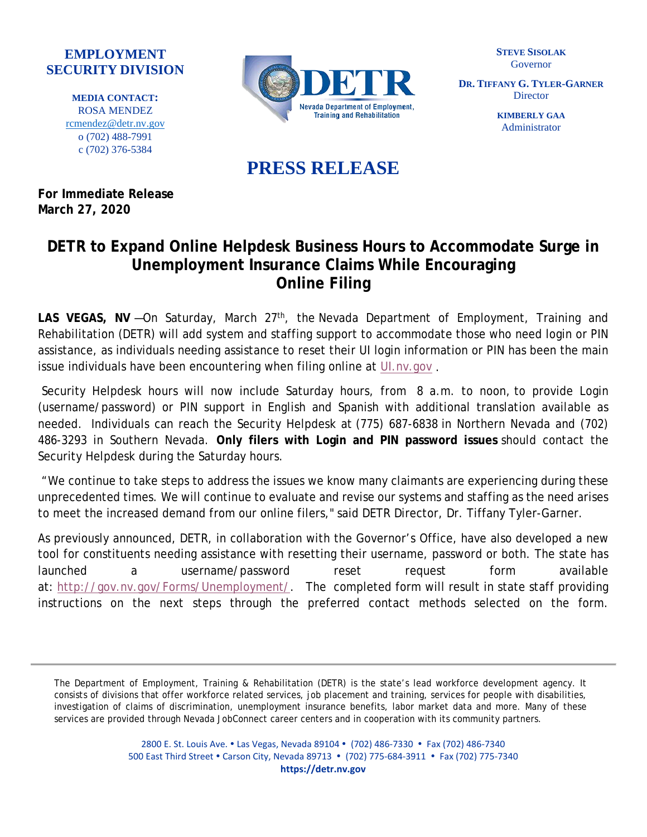## **EMPLOYMENT SECURITY DIVISION**

**MEDIA CONTACT:**  ROSA MENDEZ [rcmendez@detr.nv.gov](mailto:rcmendez@detr.nv.gov) o (702) 488-7991 c (702) 376-5384



**STEVE SISOLAK** Governor

**DR. TIFFANY G. TYLER-GARNER Director** 

> **KIMBERLY GAA** Administrator

## **PRESS RELEASE**

**For Immediate Release March 27, 2020**

## **DETR to Expand Online Helpdesk Business Hours to Accommodate Surge in Unemployment Insurance Claims While Encouraging Online Filing**

LAS VEGAS, NV-On Saturday, March 27<sup>th</sup>, the Nevada Department of Employment, Training and Rehabilitation (DETR) will add system and staffing support to accommodate those who need login or PIN assistance, as individuals needing assistance to reset their UI login information or PIN has been the main issue individuals have been encountering when filing online at UI.nv.gov.

Security Helpdesk hours will now include Saturday hours, from 8 a.m. to noon, to provide Login (username/password) or PIN support in English and Spanish with additional translation available as needed. Individuals can reach the Security Helpdesk at (775) 687-6838 in Northern Nevada and (702) 486-3293 in Southern Nevada. **Only filers with Login and PIN password issues** should contact the Security Helpdesk during the Saturday hours.

"We continue to take steps to address the issues we know many claimants are experiencing during these unprecedented times. We will continue to evaluate and revise our systems and staffing as the need arises to meet the increased demand from our online filers," said DETR Director, Dr. Tiffany Tyler-Garner.

As previously announced, DETR, in collaboration with the Governor's Office, have also developed a new tool for constituents needing assistance with resetting their username, password or both. The state has launched a username/password reset request form available at: [http://gov.nv.gov/Forms/Unemployment/.](http://gov.nv.gov/Forms/Unemployment/) The completed form will result in state staff providing instructions on the next steps through the preferred contact methods selected on the form.

The Department of Employment, Training & Rehabilitation (DETR) is the state's lead workforce development agency. It consists of divisions that offer workforce related services, job placement and training, services for people with disabilities, investigation of claims of discrimination, unemployment insurance benefits, labor market data and more. Many of these services are provided through Nevada JobConnect career centers and in cooperation with its community partners.